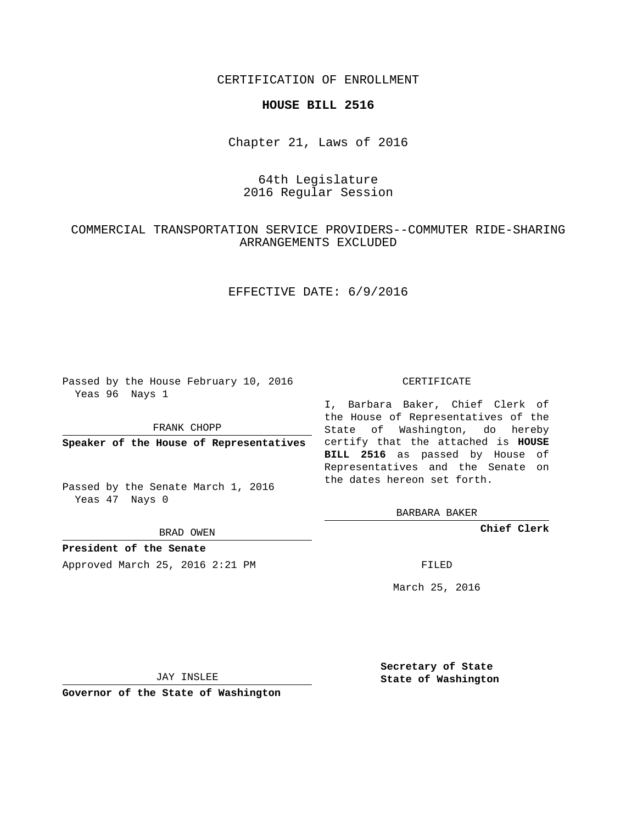CERTIFICATION OF ENROLLMENT

#### **HOUSE BILL 2516**

Chapter 21, Laws of 2016

# 64th Legislature 2016 Regular Session

## COMMERCIAL TRANSPORTATION SERVICE PROVIDERS--COMMUTER RIDE-SHARING ARRANGEMENTS EXCLUDED

## EFFECTIVE DATE: 6/9/2016

Passed by the House February 10, 2016 Yeas 96 Nays 1

FRANK CHOPP

Passed by the Senate March 1, 2016 Yeas 47 Nays 0

BRAD OWEN

**President of the Senate**

Approved March 25, 2016 2:21 PM FILED

#### CERTIFICATE

**Speaker of the House of Representatives** certify that the attached is **HOUSE** I, Barbara Baker, Chief Clerk of the House of Representatives of the State of Washington, do hereby **BILL 2516** as passed by House of Representatives and the Senate on the dates hereon set forth.

BARBARA BAKER

**Chief Clerk**

March 25, 2016

JAY INSLEE

**Governor of the State of Washington**

**Secretary of State State of Washington**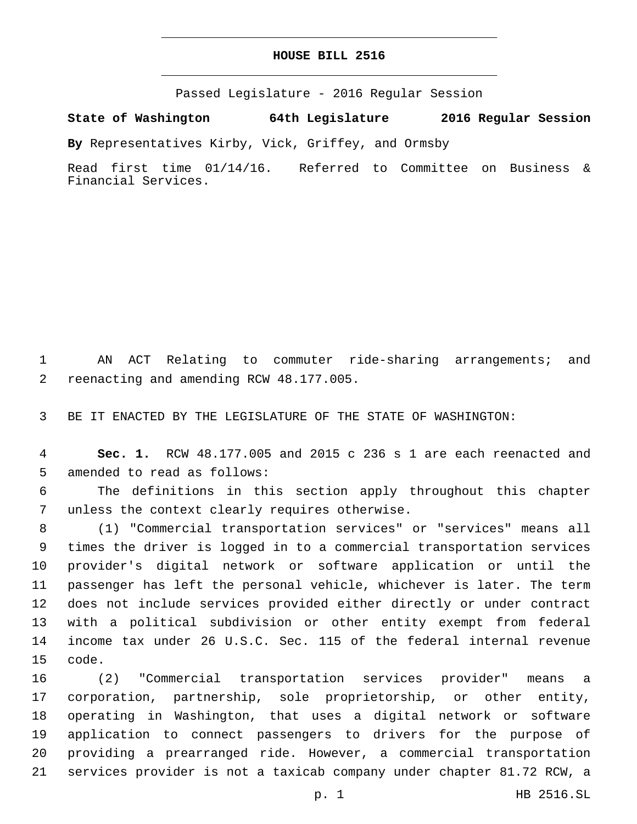#### **HOUSE BILL 2516**

Passed Legislature - 2016 Regular Session

**State of Washington 64th Legislature 2016 Regular Session**

**By** Representatives Kirby, Vick, Griffey, and Ormsby

Read first time 01/14/16. Referred to Committee on Business & Financial Services.

 AN ACT Relating to commuter ride-sharing arrangements; and 2 reenacting and amending RCW 48.177.005.

BE IT ENACTED BY THE LEGISLATURE OF THE STATE OF WASHINGTON:

 **Sec. 1.** RCW 48.177.005 and 2015 c 236 s 1 are each reenacted and 5 amended to read as follows:

 The definitions in this section apply throughout this chapter 7 unless the context clearly requires otherwise.

 (1) "Commercial transportation services" or "services" means all times the driver is logged in to a commercial transportation services provider's digital network or software application or until the passenger has left the personal vehicle, whichever is later. The term does not include services provided either directly or under contract with a political subdivision or other entity exempt from federal income tax under 26 U.S.C. Sec. 115 of the federal internal revenue 15 code.

 (2) "Commercial transportation services provider" means a corporation, partnership, sole proprietorship, or other entity, operating in Washington, that uses a digital network or software application to connect passengers to drivers for the purpose of providing a prearranged ride. However, a commercial transportation services provider is not a taxicab company under chapter 81.72 RCW, a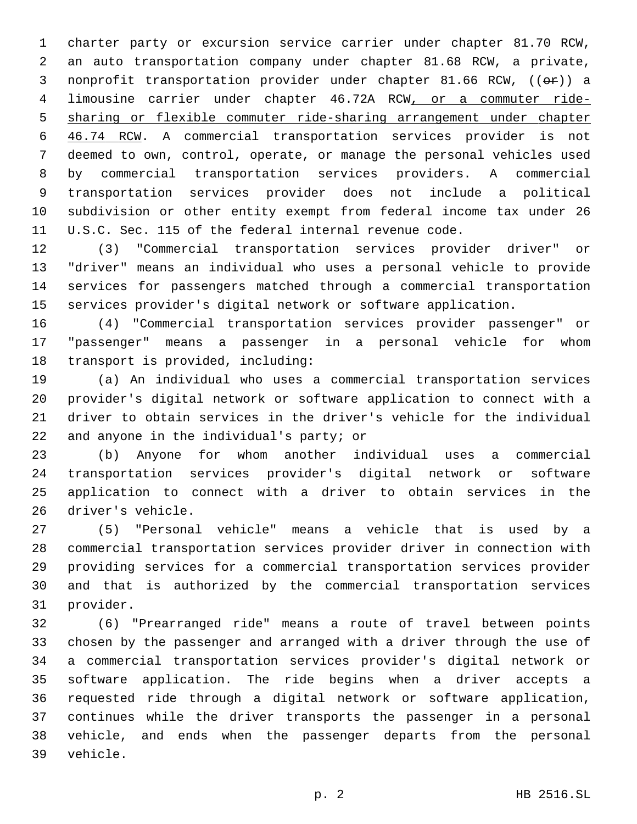charter party or excursion service carrier under chapter 81.70 RCW, an auto transportation company under chapter 81.68 RCW, a private, 3 nonprofit transportation provider under chapter 81.66 RCW, (( $\Theta$ r)) a limousine carrier under chapter 46.72A RCW, or a commuter ride- sharing or flexible commuter ride-sharing arrangement under chapter 46.74 RCW. A commercial transportation services provider is not deemed to own, control, operate, or manage the personal vehicles used by commercial transportation services providers. A commercial transportation services provider does not include a political subdivision or other entity exempt from federal income tax under 26 U.S.C. Sec. 115 of the federal internal revenue code.

 (3) "Commercial transportation services provider driver" or "driver" means an individual who uses a personal vehicle to provide services for passengers matched through a commercial transportation services provider's digital network or software application.

 (4) "Commercial transportation services provider passenger" or "passenger" means a passenger in a personal vehicle for whom 18 transport is provided, including:

 (a) An individual who uses a commercial transportation services provider's digital network or software application to connect with a driver to obtain services in the driver's vehicle for the individual 22 and anyone in the individual's party; or

 (b) Anyone for whom another individual uses a commercial transportation services provider's digital network or software application to connect with a driver to obtain services in the 26 driver's vehicle.

 (5) "Personal vehicle" means a vehicle that is used by a commercial transportation services provider driver in connection with providing services for a commercial transportation services provider and that is authorized by the commercial transportation services 31 provider.

 (6) "Prearranged ride" means a route of travel between points chosen by the passenger and arranged with a driver through the use of a commercial transportation services provider's digital network or software application. The ride begins when a driver accepts a requested ride through a digital network or software application, continues while the driver transports the passenger in a personal vehicle, and ends when the passenger departs from the personal 39 vehicle.